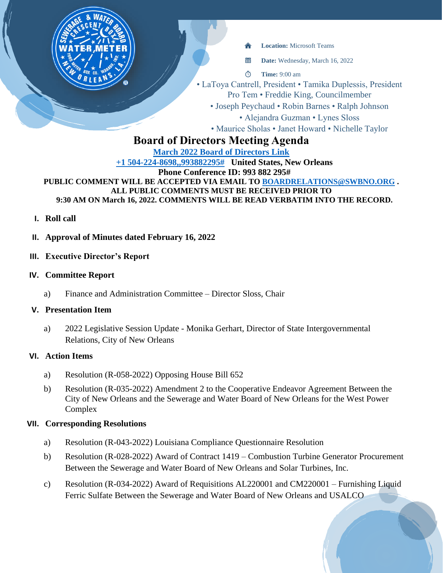

當 **Date:** Wednesday, March 16, 2022

 $\circ$ **Time:** 9:00 am

• LaToya Cantrell, President • Tamika Duplessis, President Pro Tem • Freddie King, Councilmember

• Joseph Peychaud • Robin Barnes • Ralph Johnson

• Alejandra Guzman • Lynes Sloss

• Maurice Sholas • Janet Howard • Nichelle Taylor

# **Board of Directors Meeting Agenda**

**[March 2022 Board of Directors Link](https://teams.microsoft.com/l/meetup-join/19%3ameeting_ZDVkMWU5YzktYTQ0Ni00M2RmLTgzOWEtODg2NzIzMTU2NmM0%40thread.v2/0?context=%7b%22Tid%22%3a%22db706155-4aa7-4a5e-b348-b35c3136f6a7%22%2c%22Oid%22%3a%22fcca2b1f-7895-42f0-8972-2f2b78d70e78%22%7d) [+1 504-224-8698,,993882295#](tel:+15042248698,,993882295# ) United States, New Orleans Phone Conference ID: 993 882 295# PUBLIC COMMENT WILL BE ACCEPTED VIA EMAIL TO [BOARDRELATIONS@SWBNO.ORG](mailto:BOARDRELATIONS@SWBNO.ORG) . ALL PUBLIC COMMENTS MUST BE RECEIVED PRIOR TO 9:30 AM ON March 16, 2022. COMMENTS WILL BE READ VERBATIM INTO THE RECORD.**

- **I. Roll call**
- **II. Approval of Minutes dated February 16, 2022**
- **III. Executive Director's Report**
- **IV. Committee Report**
	- a) Finance and Administration Committee Director Sloss, Chair

### **V. Presentation Item**

a) 2022 Legislative Session Update - Monika Gerhart, Director of State Intergovernmental Relations, City of New Orleans

### **VI. Action Items**

- a) Resolution (R-058-2022) Opposing House Bill 652
- b) Resolution (R-035-2022) Amendment 2 to the Cooperative Endeavor Agreement Between the City of New Orleans and the Sewerage and Water Board of New Orleans for the West Power Complex

## **VII. Corresponding Resolutions**

- a) Resolution (R-043-2022) Louisiana Compliance Questionnaire Resolution
- b) Resolution (R-028-2022) Award of Contract 1419 Combustion Turbine Generator Procurement Between the Sewerage and Water Board of New Orleans and Solar Turbines, Inc.
- c) Resolution (R-034-2022) Award of Requisitions AL220001 and CM220001 Furnishing Liquid Ferric Sulfate Between the Sewerage and Water Board of New Orleans and USALCO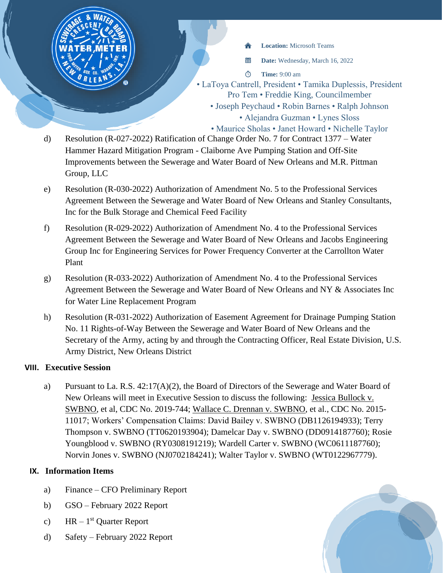- **Location:** Microsoft Teams
- 當 **Date:** Wednesday, March 16, 2022
- $\Phi$ **Time:** 9:00 am
- LaToya Cantrell, President Tamika Duplessis, President Pro Tem • Freddie King, Councilmember
	- Joseph Peychaud Robin Barnes Ralph Johnson • Alejandra Guzman • Lynes Sloss
	- Maurice Sholas Janet Howard Nichelle Taylor
- d) Resolution (R-027-2022) Ratification of Change Order No. 7 for Contract 1377 Water Hammer Hazard Mitigation Program - Claiborne Ave Pumping Station and Off-Site Improvements between the Sewerage and Water Board of New Orleans and M.R. Pittman Group, LLC
- e) Resolution (R-030-2022) Authorization of Amendment No. 5 to the Professional Services Agreement Between the Sewerage and Water Board of New Orleans and Stanley Consultants, Inc for the Bulk Storage and Chemical Feed Facility
- f) Resolution (R-029-2022) Authorization of Amendment No. 4 to the Professional Services Agreement Between the Sewerage and Water Board of New Orleans and Jacobs Engineering Group Inc for Engineering Services for Power Frequency Converter at the Carrollton Water Plant
- g) Resolution (R-033-2022) Authorization of Amendment No. 4 to the Professional Services Agreement Between the Sewerage and Water Board of New Orleans and NY & Associates Inc for Water Line Replacement Program
- h) Resolution (R-031-2022) Authorization of Easement Agreement for Drainage Pumping Station No. 11 Rights-of-Way Between the Sewerage and Water Board of New Orleans and the Secretary of the Army, acting by and through the Contracting Officer, Real Estate Division, U.S. Army District, New Orleans District

## **VIII. Executive Session**

a) Pursuant to La. R.S. 42:17(A)(2), the Board of Directors of the Sewerage and Water Board of New Orleans will meet in Executive Session to discuss the following: Jessica Bullock v. SWBNO, et al, CDC No. 2019-744; Wallace C. Drennan v. SWBNO, et al., CDC No. 2015- 11017; Workers' Compensation Claims: David Bailey v. SWBNO (DB1126194933); Terry Thompson v. SWBNO (TT0620193904); Damelcar Day v. SWBNO (DD0914187760); Rosie Youngblood v. SWBNO (RY0308191219); Wardell Carter v. SWBNO (WC0611187760); Norvin Jones v. SWBNO (NJ0702184241); Walter Taylor v. SWBNO (WT0122967779).

# **IX. Information Items**

- a) Finance CFO Preliminary Report
- b) GSO February 2022 Report
- c)  $HR 1^{st}$  Quarter Report
- d) Safety February 2022 Report

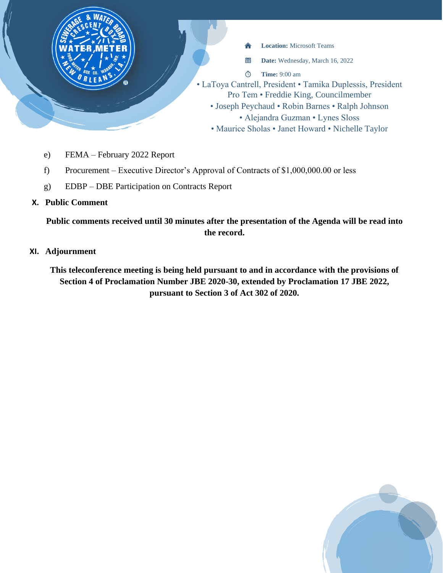

- e) FEMA February 2022 Report
- f) Procurement Executive Director's Approval of Contracts of \$1,000,000.00 or less
- g) EDBP DBE Participation on Contracts Report

## **X. Public Comment**

**Public comments received until 30 minutes after the presentation of the Agenda will be read into the record.**

### **XI. Adjournment**

**This teleconference meeting is being held pursuant to and in accordance with the provisions of Section 4 of Proclamation Number JBE 2020-30, extended by Proclamation 17 JBE 2022, pursuant to Section 3 of Act 302 of 2020.**